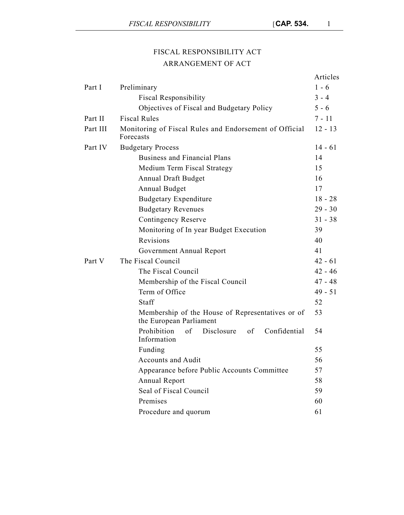# FISCAL RESPONSIBILITY ACT ARRANGEMENT OF ACT

|          |                                                                             | Articles  |
|----------|-----------------------------------------------------------------------------|-----------|
| Part I   | Preliminary                                                                 | $1 - 6$   |
|          | <b>Fiscal Responsibility</b>                                                | $3 - 4$   |
|          | Objectives of Fiscal and Budgetary Policy                                   | $5 - 6$   |
| Part II  | <b>Fiscal Rules</b>                                                         | $7 - 11$  |
| Part III | Monitoring of Fiscal Rules and Endorsement of Official<br>Forecasts         | $12 - 13$ |
| Part IV  | <b>Budgetary Process</b>                                                    | $14 - 61$ |
|          | <b>Business and Financial Plans</b>                                         | 14        |
|          | Medium Term Fiscal Strategy                                                 | 15        |
|          | Annual Draft Budget                                                         | 16        |
|          | Annual Budget                                                               | 17        |
|          | <b>Budgetary Expenditure</b>                                                | $18 - 28$ |
|          | <b>Budgetary Revenues</b>                                                   | $29 - 30$ |
|          | <b>Contingency Reserve</b>                                                  | $31 - 38$ |
|          | Monitoring of In year Budget Execution                                      | 39        |
|          | Revisions                                                                   | 40        |
|          | Government Annual Report                                                    | 41        |
| Part V   | The Fiscal Council                                                          | $42 - 61$ |
|          | The Fiscal Council                                                          | $42 - 46$ |
|          | Membership of the Fiscal Council                                            | $47 - 48$ |
|          | Term of Office                                                              | $49 - 51$ |
|          | Staff                                                                       | 52        |
|          | Membership of the House of Representatives or of<br>the European Parliament | 53        |
|          | Prohibition<br>of<br>Disclosure<br>Confidential<br>of<br>Information        | 54        |
|          | Funding                                                                     | 55        |
|          | <b>Accounts and Audit</b>                                                   | 56        |
|          | Appearance before Public Accounts Committee                                 | 57        |
|          | Annual Report                                                               | 58        |
|          | Seal of Fiscal Council                                                      | 59        |
|          | Premises                                                                    | 60        |
|          | Procedure and quorum                                                        | 61        |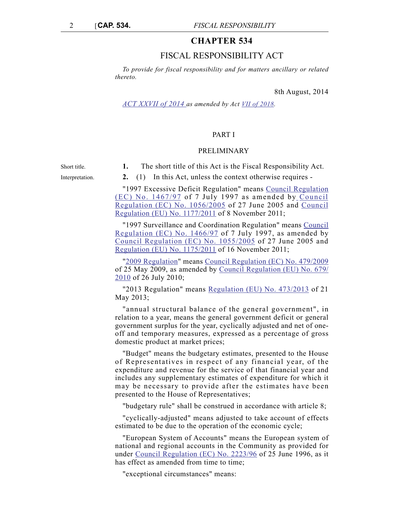# **CHAPTER 534**

# FISCAL RESPONSIBILITY ACT

*To provide for fiscal responsibility and for matters ancillary or related thereto.*

8th August, 2014

*[ACT XXVII of 2014](https://legislation.mt/eli/act/2014/27/eng/pdf) as amended by Act [VII of 2018](https://legislation.mt/eli/act/2018/7/eng/pdf).*

Short title. **1.** The short title of this Act is the Fiscal Responsibility Act.

# PART I

## PRELIMINARY

Interpretation. **2.** (1) In this Act, unless the context otherwise requires - "1997 Excessive Deficit Regulation" means [Council Regulation](http://eur-lex.europa.eu/legal-content/EN/TXT/?uri=CELEX:31997R1467) [\(EC\) No. 1467/97](http://eur-lex.europa.eu/legal-content/EN/TXT/?uri=CELEX:31997R1467) of 7 July 1997 as amended by [Council](http://eur-lex.europa.eu/legal-content/EN/TXT/?uri=CELEX:32005R1056) [Regulation \(EC\) No. 1056/2005](http://eur-lex.europa.eu/legal-content/EN/TXT/?uri=CELEX:32005R1056) of 27 June 2005 and [Council](http://eur-lex.europa.eu/LexUriServ/LexUriServ.do?uri=OJ:L:2011:306:0033:0040:EN:PDF) [Regulation \(EU\) No. 1177/2011](http://eur-lex.europa.eu/LexUriServ/LexUriServ.do?uri=OJ:L:2011:306:0033:0040:EN:PDF) of 8 November 2011;

> "1997 Surveillance and Coordination Regulation" means [Council](http://eur-lex.europa.eu/legal-content/EN/TXT/PDF/?uri=CELEX:31997R1466&from=EN) [Regulation \(EC\) No. 1466/97](http://eur-lex.europa.eu/legal-content/EN/TXT/PDF/?uri=CELEX:31997R1466&from=EN) of 7 July 1997, as amended by [Council Regulation \(EC\) No. 1055/2005](http://eur-lex.europa.eu/LexUriServ/LexUriServ.do?uri=OJ:L:2005:174:0001:0004:EN:PDF) of 27 June 2005 and [Regulation \(EU\) No. 1175/2011](http://eur-lex.europa.eu/LexUriServ/LexUriServ.do?uri=OJ:L:2011:306:0012:0024:EN:PDF) of 16 November 2011;

> ["2009 Regulation](http://eur-lex.europa.eu/LexUriServ/LexUriServ.do?uri=OJ:L:2009:145:0001:0009:en:PDF)" means [Council Regulation \(EC\) No. 479/2009](http://eur-lex.europa.eu/LexUriServ/LexUriServ.do?uri=OJ:L:2009:145:0001:0009:en:PDF) of 25 May 2009, as amended by [Council Regulation \(EU\) No. 679/](http://eur-lex.europa.eu/LexUriServ/LexUriServ.do?uri=OJ:L:2010:198:0001:0004:EN:PDF) [2010](http://eur-lex.europa.eu/LexUriServ/LexUriServ.do?uri=OJ:L:2010:198:0001:0004:EN:PDF) of 26 July 2010;

> "2013 Regulation" means [Regulation \(EU\) No. 473/2013](http://eur-lex.europa.eu/legal-content/EN/TXT/PDF/?uri=CELEX:32013R0473&from=EN) of 21 May 2013;

> "annual structural balance of the general government", in relation to a year, means the general government deficit or general government surplus for the year, cyclically adjusted and net of oneoff and temporary measures, expressed as a percentage of gross domestic product at market prices;

> "Budget" means the budgetary estimates, presented to the House of Representatives in respect of any financial year, of the expenditure and revenue for the service of that financial year and includes any supplementary estimates of expenditure for which it may be necessary to provide after the estimates have been presented to the House of Representatives;

"budgetary rule" shall be construed in accordance with article 8;

"cyclically-adjusted" means adjusted to take account of effects estimated to be due to the operation of the economic cycle;

"European System of Accounts" means the European system of national and regional accounts in the Community as provided for under [Council Regulation \(EC\) No. 2223/96](http://eur-lex.europa.eu/LexUriServ/LexUriServ.do?uri=CELEX:31996R2223:EN:HTML) of 25 June 1996, as it has effect as amended from time to time;

"exceptional circumstances" means: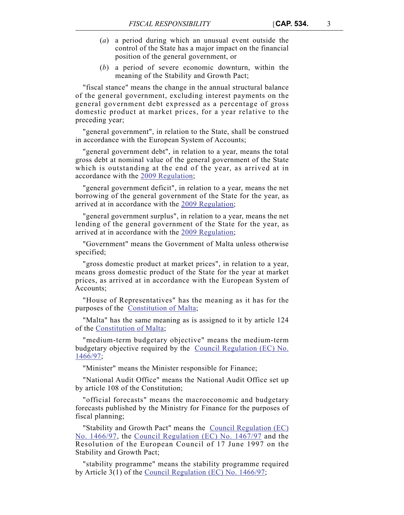- (*a*) a period during which an unusual event outside the control of the State has a major impact on the financial position of the general government, or
- (*b*) a period of severe economic downturn, within the meaning of the Stability and Growth Pact;

"fiscal stance" means the change in the annual structural balance of the general government, excluding interest payments on the general government debt expressed as a percentage of gross domestic product at market prices, for a year relative to the preceding year;

"general government", in relation to the State, shall be construed in accordance with the European System of Accounts;

"general government debt", in relation to a year, means the total gross debt at nominal value of the general government of the State which is outstanding at the end of the year, as arrived at in accordance with the [2009 Regulation](http://eur-lex.europa.eu/LexUriServ/LexUriServ.do?uri=OJ:L:2009:145:0001:0009:en:PDF);

"general government deficit", in relation to a year, means the net borrowing of the general government of the State for the year, as arrived at in accordance with the [2009 Regulation](http://eur-lex.europa.eu/LexUriServ/LexUriServ.do?uri=OJ:L:2009:145:0001:0009:en:PDF);

"general government surplus", in relation to a year, means the net lending of the general government of the State for the year, as arrived at in accordance with the [2009 Regulation](http://eur-lex.europa.eu/LexUriServ/LexUriServ.do?uri=OJ:L:2009:145:0001:0009:en:PDF);

"Government" means the Government of Malta unless otherwise specified;

"gross domestic product at market prices", in relation to a year, means gross domestic product of the State for the year at market prices, as arrived at in accordance with the European System of Accounts;

"House of Representatives" has the meaning as it has for the purposes of the [Constitution of Malta;](https://legislation.mt/eli/const/eng/pdf)

"Malta" has the same meaning as is assigned to it by article 124 of the [Constitution of Malta](https://legislation.mt/eli/const/eng/pdf);

"medium-term budgetary objective" means the medium-term budgetary objective required by the [Council Regulation \(EC\) No.](http://eur-lex.europa.eu/legal-content/EN/TXT/PDF/?uri=CELEX:31997R1466&from=EN) [1466/97;](http://eur-lex.europa.eu/legal-content/EN/TXT/PDF/?uri=CELEX:31997R1466&from=EN)

"Minister" means the Minister responsible for Finance;

"National Audit Office" means the National Audit Office set up by article 108 of the Constitution;

"official forecasts" means the macroeconomic and budgetary forecasts published by the Ministry for Finance for the purposes of fiscal planning;

"Stability and Growth Pact" means the [Council Regulation \(EC\)](http://eur-lex.europa.eu/legal-content/EN/TXT/PDF/?uri=CELEX:31997R1466&from=EN) [No. 1466/97](http://eur-lex.europa.eu/legal-content/EN/TXT/PDF/?uri=CELEX:31997R1466&from=EN), the [Council Regulation \(EC\) No. 1467/97](http://eur-lex.europa.eu/legal-content/EN/TXT/?uri=CELEX:31997R1467) and the Resolution of the European Council of 17 June 1997 on the Stability and Growth Pact;

"stability programme" means the stability programme required by Article 3(1) of the [Council Regulation \(EC\) No. 1466/97;](http://eur-lex.europa.eu/legal-content/EN/TXT/PDF/?uri=CELEX:31997R1466&from=EN)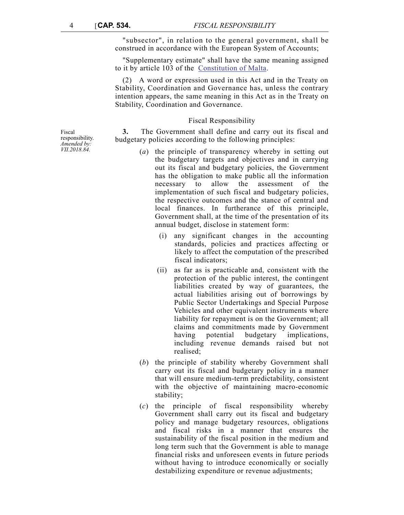"subsector", in relation to the general government, shall be construed in accordance with the European System of Accounts;

"Supplementary estimate" shall have the same meaning assigned to it by article 103 of the [Constitution of Malta.](https://legislation.mt/eli/const/eng/pdf)

(2) A word or expression used in this Act and in the Treaty on Stability, Coordination and Governance has, unless the contrary intention appears, the same meaning in this Act as in the Treaty on Stability, Coordination and Governance.

## Fiscal Responsibility

**3.** The Government shall define and carry out its fiscal and budgetary policies according to the following principles:

- (*a*) the principle of transparency whereby in setting out the budgetary targets and objectives and in carrying out its fiscal and budgetary policies, the Government has the obligation to make public all the information necessary to allow the assessment of the implementation of such fiscal and budgetary policies, the respective outcomes and the stance of central and local finances. In furtherance of this principle, Government shall, at the time of the presentation of its annual budget, disclose in statement form:
	- (i) any significant changes in the accounting standards, policies and practices affecting or likely to affect the computation of the prescribed fiscal indicators;
	- (ii) as far as is practicable and, consistent with the protection of the public interest, the contingent liabilities created by way of guarantees, the actual liabilities arising out of borrowings by Public Sector Undertakings and Special Purpose Vehicles and other equivalent instruments where liability for repayment is on the Government; all claims and commitments made by Government having potential budgetary implications, including revenue demands raised but not realised;
- (*b*) the principle of stability whereby Government shall carry out its fiscal and budgetary policy in a manner that will ensure medium-term predictability, consistent with the objective of maintaining macro-economic stability;
- (*c*) the principle of fiscal responsibility whereby Government shall carry out its fiscal and budgetary policy and manage budgetary resources, obligations and fiscal risks in a manner that ensures the sustainability of the fiscal position in the medium and long term such that the Government is able to manage financial risks and unforeseen events in future periods without having to introduce economically or socially destabilizing expenditure or revenue adjustments;

Fiscal responsibility. *Amended by: VII.2018.84.*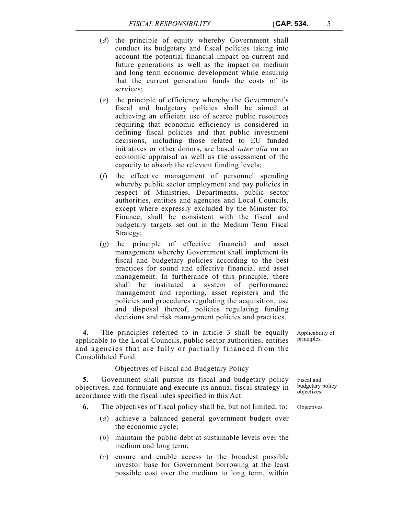- (*d*) the principle of equity whereby Government shall conduct its budgetary and fiscal policies taking into account the potential financial impact on current and future generations as well as the impact on medium and long term economic development while ensuring that the current generation funds the costs of its services;
- (*e*) the principle of efficiency whereby the Government's fiscal and budgetary policies shall be aimed at achieving an efficient use of scarce public resources requiring that economic efficiency is considered in defining fiscal policies and that public investment decisions, including those related to EU funded initiatives or other donors, are based *inter alia* on an economic appraisal as well as the assessment of the capacity to absorb the relevant funding levels;
- (*f*) the effective management of personnel spending whereby public sector employment and pay policies in respect of Ministries, Departments, public sector authorities, entities and agencies and Local Councils, except where expressly excluded by the Minister for Finance, shall be consistent with the fiscal and budgetary targets set out in the Medium Term Fiscal Strategy;
- (*g*) the principle of effective financial and asset management whereby Government shall implement its fiscal and budgetary policies according to the best practices for sound and effective financial and asset management. In furtherance of this principle, there shall be instituted a system of performance management and reporting, asset registers and the policies and procedures regulating the acquisition, use and disposal thereof, policies regulating funding decisions and risk management policies and practices.

**4.** The principles referred to in article 3 shall be equally applicable to the Local Councils, public sector authorities, entities and agencies that are fully or partially financed from the Consolidated Fund.

# Objectives of Fiscal and Budgetary Policy

**5.** Government shall pursue its fiscal and budgetary policy objectives, and formulate and execute its annual fiscal strategy in accordance with the fiscal rules specified in this Act.

- **6.** The objectives of fiscal policy shall be, but not limited, to: Objectives.
	- (*a*) achieve a balanced general government budget over the economic cycle;
	- (*b*) maintain the public debt at sustainable levels over the medium and long term;
	- (*c*) ensure and enable access to the broadest possible investor base for Government borrowing at the least possible cost over the medium to long term, within

Applicability of principles.

Fiscal and budgetary policy objectives.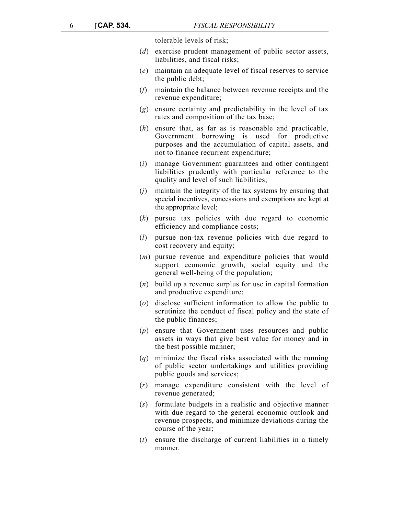tolerable levels of risk;

- (*d*) exercise prudent management of public sector assets, liabilities, and fiscal risks;
- (*e*) maintain an adequate level of fiscal reserves to service the public debt;
- (*f*) maintain the balance between revenue receipts and the revenue expenditure;
- (*g*) ensure certainty and predictability in the level of tax rates and composition of the tax base;
- (*h*) ensure that, as far as is reasonable and practicable, Government borrowing is used for productive purposes and the accumulation of capital assets, and not to finance recurrent expenditure;
- (*i*) manage Government guarantees and other contingent liabilities prudently with particular reference to the quality and level of such liabilities;
- (*j*) maintain the integrity of the tax systems by ensuring that special incentives, concessions and exemptions are kept at the appropriate level;
- (*k*) pursue tax policies with due regard to economic efficiency and compliance costs;
- (*l*) pursue non-tax revenue policies with due regard to cost recovery and equity;
- (*m*) pursue revenue and expenditure policies that would support economic growth, social equity and the general well-being of the population;
- (*n*) build up a revenue surplus for use in capital formation and productive expenditure;
- (*o*) disclose sufficient information to allow the public to scrutinize the conduct of fiscal policy and the state of the public finances;
- (*p*) ensure that Government uses resources and public assets in ways that give best value for money and in the best possible manner;
- (*q*) minimize the fiscal risks associated with the running of public sector undertakings and utilities providing public goods and services;
- (*r*) manage expenditure consistent with the level of revenue generated;
- (*s*) formulate budgets in a realistic and objective manner with due regard to the general economic outlook and revenue prospects, and minimize deviations during the course of the year;
- (*t*) ensure the discharge of current liabilities in a timely manner.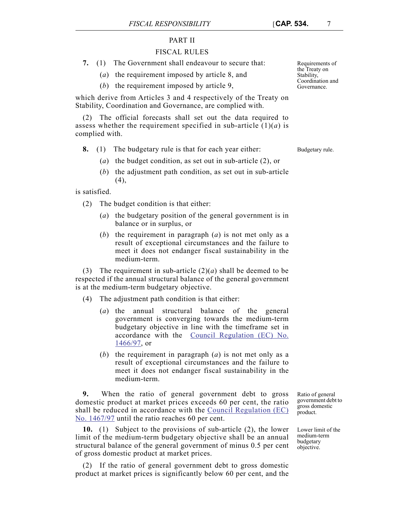# PART II

# FISCAL RULES

- **7.** (1) The Government shall endeavour to secure that:
	- (*a*) the requirement imposed by article 8, and
	- (*b*) the requirement imposed by article 9,

which derive from Articles 3 and 4 respectively of the Treaty on Stability, Coordination and Governance, are complied with.

(2) The official forecasts shall set out the data required to assess whether the requirement specified in sub-article (1)(*a*) is complied with.

**8.** (1) The budgetary rule is that for each year either: Budgetary rule.

- (*a*) the budget condition, as set out in sub-article (2), or
- (*b*) the adjustment path condition, as set out in sub-article  $(4)$ ,

is satisfied.

- (2) The budget condition is that either:
	- (*a*) the budgetary position of the general government is in balance or in surplus, or
	- (*b*) the requirement in paragraph (*a*) is not met only as a result of exceptional circumstances and the failure to meet it does not endanger fiscal sustainability in the medium-term.

(3) The requirement in sub-article  $(2)(a)$  shall be deemed to be respected if the annual structural balance of the general government is at the medium-term budgetary objective.

- (4) The adjustment path condition is that either:
	- (*a*) the annual structural balance of the general government is converging towards the medium-term budgetary objective in line with the timeframe set in accordance with the [Council Regulation \(EC\) No.](http://eur-lex.europa.eu/legal-content/EN/TXT/PDF/?uri=CELEX:31997R1466&from=EN) [1466/97,](http://eur-lex.europa.eu/legal-content/EN/TXT/PDF/?uri=CELEX:31997R1466&from=EN) or
	- (*b*) the requirement in paragraph (*a*) is not met only as a result of exceptional circumstances and the failure to meet it does not endanger fiscal sustainability in the medium-term.

**9.** When the ratio of general government debt to gross domestic product at market prices exceeds 60 per cent, the ratio shall be reduced in accordance with the [Council Regulation \(EC\)](http://eur-lex.europa.eu/legal-content/EN/TXT/?uri=CELEX:31997R1467) [No. 1467/97](http://eur-lex.europa.eu/legal-content/EN/TXT/?uri=CELEX:31997R1467) until the ratio reaches 60 per cent.

**10.** (1) Subject to the provisions of sub-article (2), the lower limit of the medium-term budgetary objective shall be an annual structural balance of the general government of minus 0.5 per cent of gross domestic product at market prices.

(2) If the ratio of general government debt to gross domestic product at market prices is significantly below 60 per cent, and the

Ratio of general government debt to gross domestic product.

Lower limit of the medium-term budgetary objective.

Requirements of the Treaty on Stability, Coordination and Governance.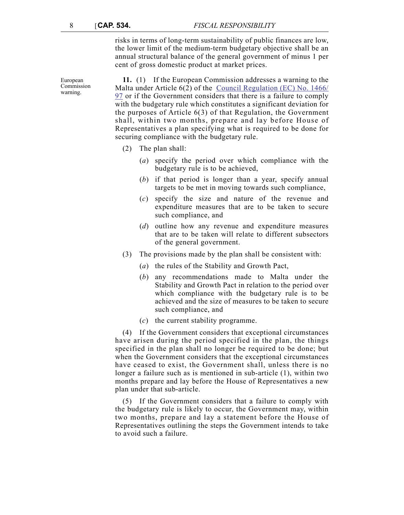risks in terms of long-term sustainability of public finances are low, the lower limit of the medium-term budgetary objective shall be an annual structural balance of the general government of minus 1 per cent of gross domestic product at market prices.

**11.** (1) If the European Commission addresses a warning to the Malta under Article 6(2) of the [Council Regulation \(EC\) No. 1466/](http://eur-lex.europa.eu/legal-content/EN/TXT/PDF/?uri=CELEX:31997R1466&from=EN) [97](http://eur-lex.europa.eu/legal-content/EN/TXT/PDF/?uri=CELEX:31997R1466&from=EN) or if the Government considers that there is a failure to comply with the budgetary rule which constitutes a significant deviation for the purposes of Article 6(3) of that Regulation, the Government shall, within two months, prepare and lay before House of Representatives a plan specifying what is required to be done for securing compliance with the budgetary rule.

- (2) The plan shall:
	- (*a*) specify the period over which compliance with the budgetary rule is to be achieved,
	- (*b*) if that period is longer than a year, specify annual targets to be met in moving towards such compliance,
	- (*c*) specify the size and nature of the revenue and expenditure measures that are to be taken to secure such compliance, and
	- (*d*) outline how any revenue and expenditure measures that are to be taken will relate to different subsectors of the general government.
- (3) The provisions made by the plan shall be consistent with:
	- (*a*) the rules of the Stability and Growth Pact,
	- (*b*) any recommendations made to Malta under the Stability and Growth Pact in relation to the period over which compliance with the budgetary rule is to be achieved and the size of measures to be taken to secure such compliance, and
	- (*c*) the current stability programme.

(4) If the Government considers that exceptional circumstances have arisen during the period specified in the plan, the things specified in the plan shall no longer be required to be done; but when the Government considers that the exceptional circumstances have ceased to exist, the Government shall, unless there is no longer a failure such as is mentioned in sub-article (1), within two months prepare and lay before the House of Representatives a new plan under that sub-article.

(5) If the Government considers that a failure to comply with the budgetary rule is likely to occur, the Government may, within two months, prepare and lay a statement before the House of Representatives outlining the steps the Government intends to take to avoid such a failure.

European Commission warning.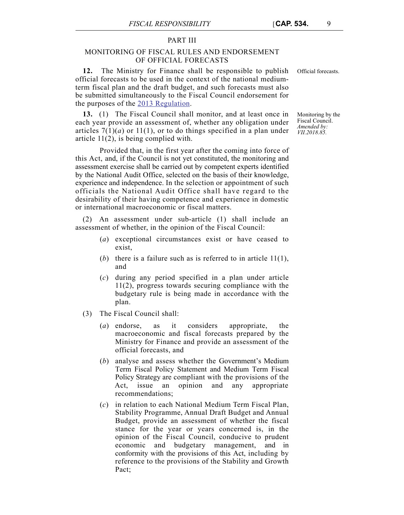# PART III

# MONITORING OF FISCAL RULES AND ENDORSEMENT OF OFFICIAL FORECASTS

**12.** The Ministry for Finance shall be responsible to publish Official forecasts. official forecasts to be used in the context of the national mediumterm fiscal plan and the draft budget, and such forecasts must also be submitted simultaneously to the Fiscal Council endorsement for the purposes of the [2013 Regulation](http://eur-lex.europa.eu/legal-content/EN/TXT/PDF/?uri=CELEX:32013R0473&from=EN).

**13.** (1) The Fiscal Council shall monitor, and at least once in each year provide an assessment of, whether any obligation under articles  $7(1)(a)$  or  $11(1)$ , or to do things specified in a plan under article 11(2), is being complied with.

Provided that, in the first year after the coming into force of this Act, and, if the Council is not yet constituted, the monitoring and assessment exercise shall be carried out by competent experts identified by the National Audit Office, selected on the basis of their knowledge, experience and independence. In the selection or appointment of such officials the National Audit Office shall have regard to the desirability of their having competence and experience in domestic or international macroeconomic or fiscal matters.

(2) An assessment under sub-article (1) shall include an assessment of whether, in the opinion of the Fiscal Council:

- (*a*) exceptional circumstances exist or have ceased to exist,
- (*b*) there is a failure such as is referred to in article 11(1), and
- (*c*) during any period specified in a plan under article 11(2), progress towards securing compliance with the budgetary rule is being made in accordance with the plan.
- (3) The Fiscal Council shall:
	- (*a*) endorse, as it considers appropriate, the macroeconomic and fiscal forecasts prepared by the Ministry for Finance and provide an assessment of the official forecasts, and
	- (*b*) analyse and assess whether the Government's Medium Term Fiscal Policy Statement and Medium Term Fiscal Policy Strategy are compliant with the provisions of the Act, issue an opinion and any appropriate opinion and any appropriate recommendations;
	- (*c*) in relation to each National Medium Term Fiscal Plan, Stability Programme, Annual Draft Budget and Annual Budget, provide an assessment of whether the fiscal stance for the year or years concerned is, in the opinion of the Fiscal Council, conducive to prudent economic and budgetary management, and in conformity with the provisions of this Act, including by reference to the provisions of the Stability and Growth Pact;

Monitoring by the Fiscal Council. *Amended by: VII.2018.85.*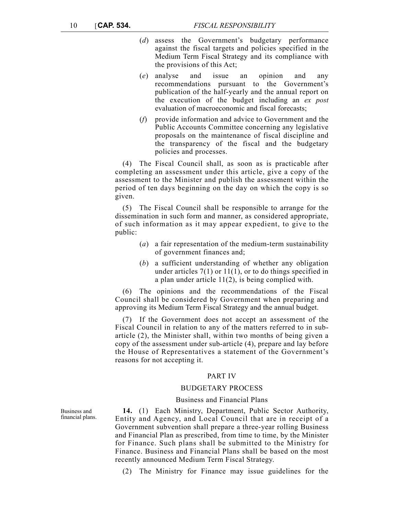- (*d*) assess the Government's budgetary performance against the fiscal targets and policies specified in the Medium Term Fiscal Strategy and its compliance with the provisions of this Act;
- (*e*) analyse and issue an opinion and any recommendations pursuant to the Government's publication of the half-yearly and the annual report on the execution of the budget including an *ex post* evaluation of macroeconomic and fiscal forecasts;
- (*f*) provide information and advice to Government and the Public Accounts Committee concerning any legislative proposals on the maintenance of fiscal discipline and the transparency of the fiscal and the budgetary policies and processes.

(4) The Fiscal Council shall, as soon as is practicable after completing an assessment under this article, give a copy of the assessment to the Minister and publish the assessment within the period of ten days beginning on the day on which the copy is so given.

(5) The Fiscal Council shall be responsible to arrange for the dissemination in such form and manner, as considered appropriate, of such information as it may appear expedient, to give to the public:

- (*a*) a fair representation of the medium-term sustainability of government finances and;
- (*b*) a sufficient understanding of whether any obligation under articles  $7(1)$  or  $11(1)$ , or to do things specified in a plan under article 11(2), is being complied with.

(6) The opinions and the recommendations of the Fiscal Council shall be considered by Government when preparing and approving its Medium Term Fiscal Strategy and the annual budget.

(7) If the Government does not accept an assessment of the Fiscal Council in relation to any of the matters referred to in subarticle (2), the Minister shall, within two months of being given a copy of the assessment under sub-article (4), prepare and lay before the House of Representatives a statement of the Government's reasons for not accepting it.

## PART IV

## BUDGETARY PROCESS

### Business and Financial Plans

**14.** (1) Each Ministry, Department, Public Sector Authority, Entity and Agency, and Local Council that are in receipt of a Government subvention shall prepare a three-year rolling Business and Financial Plan as prescribed, from time to time, by the Minister for Finance. Such plans shall be submitted to the Ministry for Finance. Business and Financial Plans shall be based on the most recently announced Medium Term Fiscal Strategy.

(2) The Ministry for Finance may issue guidelines for the

Business and financial plans.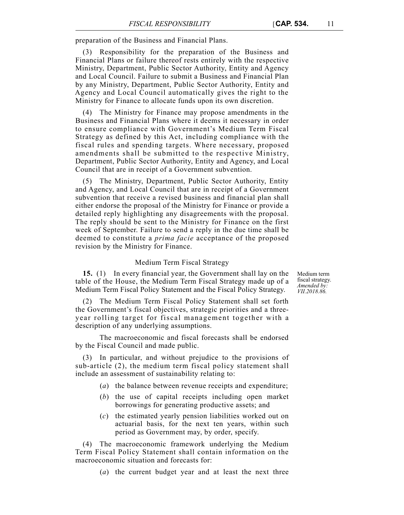preparation of the Business and Financial Plans.

(3) Responsibility for the preparation of the Business and Financial Plans or failure thereof rests entirely with the respective Ministry, Department, Public Sector Authority, Entity and Agency and Local Council. Failure to submit a Business and Financial Plan by any Ministry, Department, Public Sector Authority, Entity and Agency and Local Council automatically gives the right to the Ministry for Finance to allocate funds upon its own discretion.

(4) The Ministry for Finance may propose amendments in the Business and Financial Plans where it deems it necessary in order to ensure compliance with Government's Medium Term Fiscal Strategy as defined by this Act, including compliance with the fiscal rules and spending targets. Where necessary, proposed amendments shall be submitted to the respective Ministry, Department, Public Sector Authority, Entity and Agency, and Local Council that are in receipt of a Government subvention.

(5) The Ministry, Department, Public Sector Authority, Entity and Agency, and Local Council that are in receipt of a Government subvention that receive a revised business and financial plan shall either endorse the proposal of the Ministry for Finance or provide a detailed reply highlighting any disagreements with the proposal. The reply should be sent to the Ministry for Finance on the first week of September. Failure to send a reply in the due time shall be deemed to constitute a *prima facie* acceptance of the proposed revision by the Ministry for Finance.

#### Medium Term Fiscal Strategy

**15.** (1) In every financial year, the Government shall lay on the table of the House, the Medium Term Fiscal Strategy made up of a Medium Term Fiscal Policy Statement and the Fiscal Policy Strategy.

Medium term fiscal strategy. *Amended by: VII.2018.86.*

(2) The Medium Term Fiscal Policy Statement shall set forth the Government's fiscal objectives, strategic priorities and a threeyear rolling target for fiscal management together with a description of any underlying assumptions.

The macroeconomic and fiscal forecasts shall be endorsed by the Fiscal Council and made public.

(3) In particular, and without prejudice to the provisions of sub-article (2), the medium term fiscal policy statement shall include an assessment of sustainability relating to:

- (*a*) the balance between revenue receipts and expenditure;
- (*b*) the use of capital receipts including open market borrowings for generating productive assets; and
- (*c*) the estimated yearly pension liabilities worked out on actuarial basis, for the next ten years, within such period as Government may, by order, specify.

(4) The macroeconomic framework underlying the Medium Term Fiscal Policy Statement shall contain information on the macroeconomic situation and forecasts for:

(*a*) the current budget year and at least the next three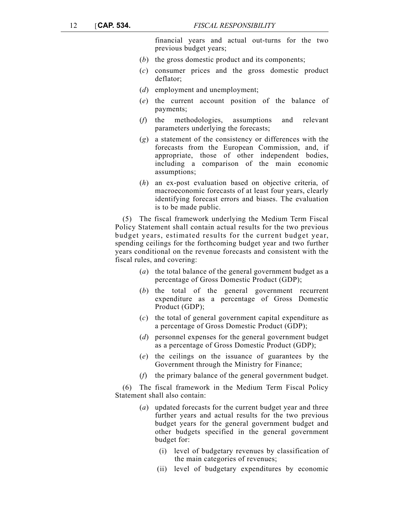financial years and actual out-turns for the two previous budget years;

- (*b*) the gross domestic product and its components;
- (*c*) consumer prices and the gross domestic product deflator;
- (*d*) employment and unemployment;
- (*e*) the current account position of the balance of payments;
- (*f*) the methodologies, assumptions and relevant parameters underlying the forecasts;
- (*g*) a statement of the consistency or differences with the forecasts from the European Commission, and, if appropriate, those of other independent bodies, including a comparison of the main economic assumptions;
- (*h*) an ex-post evaluation based on objective criteria, of macroeconomic forecasts of at least four years, clearly identifying forecast errors and biases. The evaluation is to be made public.

(5) The fiscal framework underlying the Medium Term Fiscal Policy Statement shall contain actual results for the two previous budget years, estimated results for the current budget year, spending ceilings for the forthcoming budget year and two further years conditional on the revenue forecasts and consistent with the fiscal rules, and covering:

- (*a*) the total balance of the general government budget as a percentage of Gross Domestic Product (GDP);
- (*b*) the total of the general government recurrent expenditure as a percentage of Gross Domestic Product (GDP);
- (*c*) the total of general government capital expenditure as a percentage of Gross Domestic Product (GDP);
- (*d*) personnel expenses for the general government budget as a percentage of Gross Domestic Product (GDP);
- (*e*) the ceilings on the issuance of guarantees by the Government through the Ministry for Finance;
- (*f*) the primary balance of the general government budget.

(6) The fiscal framework in the Medium Term Fiscal Policy Statement shall also contain:

- (*a*) updated forecasts for the current budget year and three further years and actual results for the two previous budget years for the general government budget and other budgets specified in the general government budget for:
	- (i) level of budgetary revenues by classification of the main categories of revenues;
	- (ii) level of budgetary expenditures by economic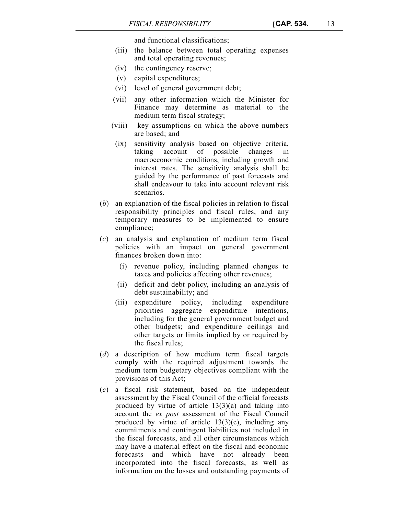and functional classifications;

- (iii) the balance between total operating expenses and total operating revenues;
- (iv) the contingency reserve;
- (v) capital expenditures;
- (vi) level of general government debt;
- (vii) any other information which the Minister for Finance may determine as material to the medium term fiscal strategy;
- (viii) key assumptions on which the above numbers are based; and
- (ix) sensitivity analysis based on objective criteria, taking account of possible changes in macroeconomic conditions, including growth and interest rates. The sensitivity analysis shall be guided by the performance of past forecasts and shall endeavour to take into account relevant risk scenarios.
- (*b*) an explanation of the fiscal policies in relation to fiscal responsibility principles and fiscal rules, and any temporary measures to be implemented to ensure compliance;
- (*c*) an analysis and explanation of medium term fiscal policies with an impact on general government finances broken down into:
	- (i) revenue policy, including planned changes to taxes and policies affecting other revenues;
	- (ii) deficit and debt policy, including an analysis of debt sustainability; and
	- (iii) expenditure policy, including expenditure priorities aggregate expenditure intentions, including for the general government budget and other budgets; and expenditure ceilings and other targets or limits implied by or required by the fiscal rules;
- (*d*) a description of how medium term fiscal targets comply with the required adjustment towards the medium term budgetary objectives compliant with the provisions of this Act;
- (*e*) a fiscal risk statement, based on the independent assessment by the Fiscal Council of the official forecasts produced by virtue of article  $13(3)(a)$  and taking into account the *ex post* assessment of the Fiscal Council produced by virtue of article 13(3)(e), including any commitments and contingent liabilities not included in the fiscal forecasts, and all other circumstances which may have a material effect on the fiscal and economic forecasts and which have not already been incorporated into the fiscal forecasts, as well as information on the losses and outstanding payments of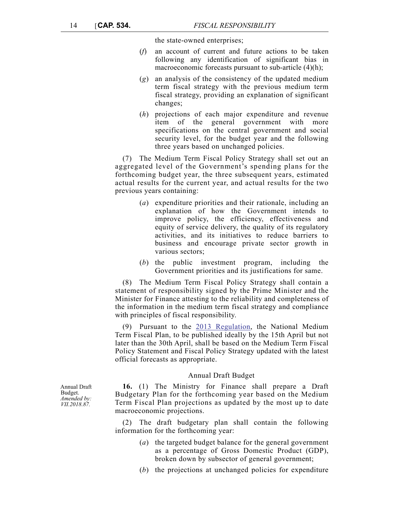the state-owned enterprises;

- (*f*) an account of current and future actions to be taken following any identification of significant bias in macroeconomic forecasts pursuant to sub-article (4)(h);
- (*g*) an analysis of the consistency of the updated medium term fiscal strategy with the previous medium term fiscal strategy, providing an explanation of significant changes;
- (*h*) projections of each major expenditure and revenue item of the general government with more specifications on the central government and social security level, for the budget year and the following three years based on unchanged policies.

(7) The Medium Term Fiscal Policy Strategy shall set out an aggregated level of the Government's spending plans for the forthcoming budget year, the three subsequent years, estimated actual results for the current year, and actual results for the two previous years containing:

- (*a*) expenditure priorities and their rationale, including an explanation of how the Government intends to improve policy, the efficiency, effectiveness and equity of service delivery, the quality of its regulatory activities, and its initiatives to reduce barriers to business and encourage private sector growth in various sectors;
- (*b*) the public investment program, including the Government priorities and its justifications for same.

(8) The Medium Term Fiscal Policy Strategy shall contain a statement of responsibility signed by the Prime Minister and the Minister for Finance attesting to the reliability and completeness of the information in the medium term fiscal strategy and compliance with principles of fiscal responsibility.

(9) Pursuant to the [2013 Regulation](http://eur-lex.europa.eu/legal-content/EN/TXT/PDF/?uri=CELEX:32013R0473&from=EN), the National Medium Term Fiscal Plan, to be published ideally by the 15th April but not later than the 30th April, shall be based on the Medium Term Fiscal Policy Statement and Fiscal Policy Strategy updated with the latest official forecasts as appropriate.

#### Annual Draft Budget

**16.** (1) The Ministry for Finance shall prepare a Draft Budgetary Plan for the forthcoming year based on the Medium Term Fiscal Plan projections as updated by the most up to date macroeconomic projections.

(2) The draft budgetary plan shall contain the following information for the forthcoming year:

- (*a*) the targeted budget balance for the general government as a percentage of Gross Domestic Product (GDP), broken down by subsector of general government;
- (*b*) the projections at unchanged policies for expenditure

Annual Draft Budget. *Amended by: VII.2018.87.*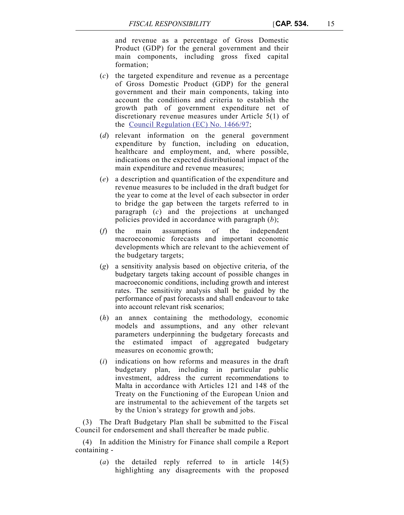and revenue as a percentage of Gross Domestic Product (GDP) for the general government and their main components, including gross fixed capital formation;

- (*c*) the targeted expenditure and revenue as a percentage of Gross Domestic Product (GDP) for the general government and their main components, taking into account the conditions and criteria to establish the growth path of government expenditure net of discretionary revenue measures under Article 5(1) of the [Council Regulation \(EC\) No. 1466/97;](http://eur-lex.europa.eu/legal-content/EN/TXT/PDF/?uri=CELEX:31997R1466&from=EN)
- (*d*) relevant information on the general government expenditure by function, including on education, healthcare and employment, and, where possible, indications on the expected distributional impact of the main expenditure and revenue measures;
- (*e*) a description and quantification of the expenditure and revenue measures to be included in the draft budget for the year to come at the level of each subsector in order to bridge the gap between the targets referred to in paragraph (*c*) and the projections at unchanged policies provided in accordance with paragraph (*b*);
- (*f*) the main assumptions of the independent macroeconomic forecasts and important economic developments which are relevant to the achievement of the budgetary targets;
- (*g*) a sensitivity analysis based on objective criteria, of the budgetary targets taking account of possible changes in macroeconomic conditions, including growth and interest rates. The sensitivity analysis shall be guided by the performance of past forecasts and shall endeavour to take into account relevant risk scenarios;
- (*h*) an annex containing the methodology, economic models and assumptions, and any other relevant parameters underpinning the budgetary forecasts and the estimated impact of aggregated budgetary measures on economic growth;
- (*i*) indications on how reforms and measures in the draft budgetary plan, including in particular public investment, address the current recommendations to Malta in accordance with Articles 121 and 148 of the Treaty on the Functioning of the European Union and are instrumental to the achievement of the targets set by the Union's strategy for growth and jobs.

(3) The Draft Budgetary Plan shall be submitted to the Fiscal Council for endorsement and shall thereafter be made public.

(4) In addition the Ministry for Finance shall compile a Report containing -

> (*a*) the detailed reply referred to in article 14(5) highlighting any disagreements with the proposed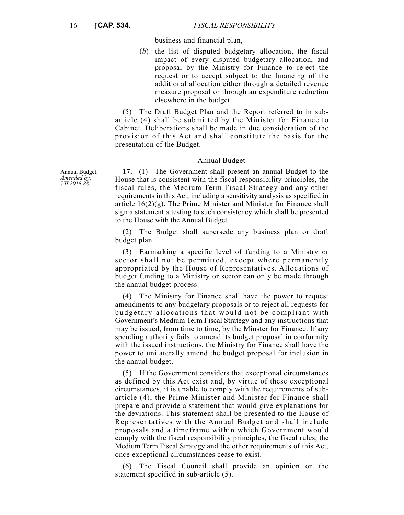business and financial plan,

(*b*) the list of disputed budgetary allocation, the fiscal impact of every disputed budgetary allocation, and proposal by the Ministry for Finance to reject the request or to accept subject to the financing of the additional allocation either through a detailed revenue measure proposal or through an expenditure reduction elsewhere in the budget.

(5) The Draft Budget Plan and the Report referred to in subarticle (4) shall be submitted by the Minister for Finance to Cabinet. Deliberations shall be made in due consideration of the provision of this Act and shall constitute the basis for the presentation of the Budget.

## Annual Budget

**17.** (1) The Government shall present an annual Budget to the House that is consistent with the fiscal responsibility principles, the fiscal rules, the Medium Term Fiscal Strategy and any other requirements in this Act, including a sensitivity analysis as specified in article  $16(2)(g)$ . The Prime Minister and Minister for Finance shall sign a statement attesting to such consistency which shall be presented to the House with the Annual Budget.

(2) The Budget shall supersede any business plan or draft budget plan.

(3) Earmarking a specific level of funding to a Ministry or sector shall not be permitted, except where permanently appropriated by the House of Representatives. Allocations of budget funding to a Ministry or sector can only be made through the annual budget process.

(4) The Ministry for Finance shall have the power to request amendments to any budgetary proposals or to reject all requests for budgetary allocations that would not be compliant with Government's Medium Term Fiscal Strategy and any instructions that may be issued, from time to time, by the Minster for Finance. If any spending authority fails to amend its budget proposal in conformity with the issued instructions, the Ministry for Finance shall have the power to unilaterally amend the budget proposal for inclusion in the annual budget.

(5) If the Government considers that exceptional circumstances as defined by this Act exist and, by virtue of these exceptional circumstances, it is unable to comply with the requirements of subarticle (4), the Prime Minister and Minister for Finance shall prepare and provide a statement that would give explanations for the deviations. This statement shall be presented to the House of Representatives with the Annual Budget and shall include proposals and a timeframe within which Government would comply with the fiscal responsibility principles, the fiscal rules, the Medium Term Fiscal Strategy and the other requirements of this Act, once exceptional circumstances cease to exist.

(6) The Fiscal Council shall provide an opinion on the statement specified in sub-article (5).

Annual Budget. *Amended by; VII.2018.88.*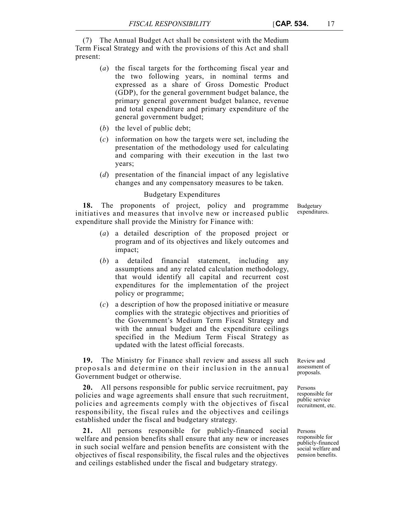(7) The Annual Budget Act shall be consistent with the Medium Term Fiscal Strategy and with the provisions of this Act and shall present:

- (*a*) the fiscal targets for the forthcoming fiscal year and the two following years, in nominal terms and expressed as a share of Gross Domestic Product (GDP), for the general government budget balance, the primary general government budget balance, revenue and total expenditure and primary expenditure of the general government budget;
- (*b*) the level of public debt;
- (*c*) information on how the targets were set, including the presentation of the methodology used for calculating and comparing with their execution in the last two years;
- (*d*) presentation of the financial impact of any legislative changes and any compensatory measures to be taken.

# Budgetary Expenditures

**18.** The proponents of project, policy and programme initiatives and measures that involve new or increased public expenditure shall provide the Ministry for Finance with:

- (*a*) a detailed description of the proposed project or program and of its objectives and likely outcomes and impact;
- (*b*) a detailed financial statement, including any assumptions and any related calculation methodology, that would identify all capital and recurrent cost expenditures for the implementation of the project policy or programme;
- (*c*) a description of how the proposed initiative or measure complies with the strategic objectives and priorities of the Government's Medium Term Fiscal Strategy and with the annual budget and the expenditure ceilings specified in the Medium Term Fiscal Strategy as updated with the latest official forecasts.

**19.** The Ministry for Finance shall review and assess all such proposals and determine on their inclusion in the annual Government budget or otherwise.

**20.** All persons responsible for public service recruitment, pay policies and wage agreements shall ensure that such recruitment, policies and agreements comply with the objectives of fiscal responsibility, the fiscal rules and the objectives and ceilings established under the fiscal and budgetary strategy.

**21.** All persons responsible for publicly-financed social welfare and pension benefits shall ensure that any new or increases in such social welfare and pension benefits are consistent with the objectives of fiscal responsibility, the fiscal rules and the objectives and ceilings established under the fiscal and budgetary strategy.

Review and assessment of proposals.

Persons responsible for public service recruitment, etc.

Persons responsible for publicly-financed social welfare and pension benefits.

Budgetary expenditures.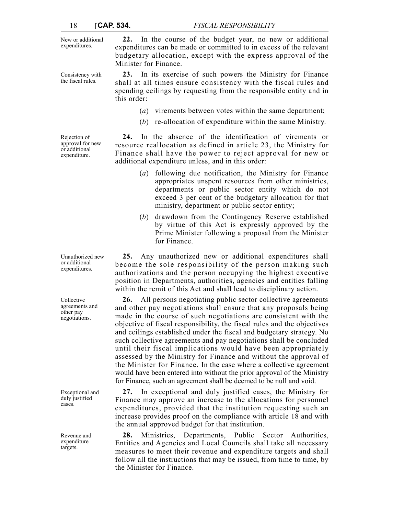New or additional expenditures.

Consistency with the fiscal rules.

Rejection of approval for new or additional expenditure.

Unauthorized new or additional expenditures.

Collective agreements and other pay negotiations.

Exceptional and duly justified cases.

Revenue and expenditure targets.

**22.** In the course of the budget year, no new or additional expenditures can be made or committed to in excess of the relevant budgetary allocation, except with the express approval of the Minister for Finance.

**23.** In its exercise of such powers the Ministry for Finance shall at all times ensure consistency with the fiscal rules and spending ceilings by requesting from the responsible entity and in this order:

- (*a*) virements between votes within the same department;
- (*b*) re-allocation of expenditure within the same Ministry.

**24.** In the absence of the identification of virements or resource reallocation as defined in article 23, the Ministry for Finance shall have the power to reject approval for new or additional expenditure unless, and in this order:

- (*a*) following due notification, the Ministry for Finance appropriates unspent resources from other ministries, departments or public sector entity which do not exceed 3 per cent of the budgetary allocation for that ministry, department or public sector entity;
- (*b*) drawdown from the Contingency Reserve established by virtue of this Act is expressly approved by the Prime Minister following a proposal from the Minister for Finance.

**25.** Any unauthorized new or additional expenditures shall become the sole responsibility of the person making such authorizations and the person occupying the highest executive position in Departments, authorities, agencies and entities falling within the remit of this Act and shall lead to disciplinary action.

**26.** All persons negotiating public sector collective agreements and other pay negotiations shall ensure that any proposals being made in the course of such negotiations are consistent with the objective of fiscal responsibility, the fiscal rules and the objectives and ceilings established under the fiscal and budgetary strategy. No such collective agreements and pay negotiations shall be concluded until their fiscal implications would have been appropriately assessed by the Ministry for Finance and without the approval of the Minister for Finance. In the case where a collective agreement would have been entered into without the prior approval of the Ministry for Finance, such an agreement shall be deemed to be null and void.

**27.** In exceptional and duly justified cases, the Ministry for Finance may approve an increase to the allocations for personnel expenditures, provided that the institution requesting such an increase provides proof on the compliance with article 18 and with the annual approved budget for that institution.

**28.** Ministries, Departments, Public Sector Authorities, Entities and Agencies and Local Councils shall take all necessary measures to meet their revenue and expenditure targets and shall follow all the instructions that may be issued, from time to time, by the Minister for Finance.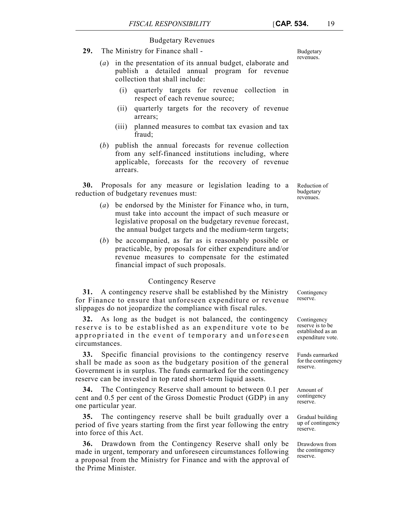## Budgetary Revenues

- **29.** The Ministry for Finance shall
	- (*a*) in the presentation of its annual budget, elaborate and publish a detailed annual program for revenue collection that shall include:
		- (i) quarterly targets for revenue collection in respect of each revenue source;
		- (ii) quarterly targets for the recovery of revenue arrears;
		- (iii) planned measures to combat tax evasion and tax fraud;
	- (*b*) publish the annual forecasts for revenue collection from any self-financed institutions including, where applicable, forecasts for the recovery of revenue arrears.

**30.** Proposals for any measure or legislation leading to a reduction of budgetary revenues must:

- (*a*) be endorsed by the Minister for Finance who, in turn, must take into account the impact of such measure or legislative proposal on the budgetary revenue forecast, the annual budget targets and the medium-term targets;
- (*b*) be accompanied, as far as is reasonably possible or practicable, by proposals for either expenditure and/or revenue measures to compensate for the estimated financial impact of such proposals.

# Contingency Reserve

**31.** A contingency reserve shall be established by the Ministry for Finance to ensure that unforeseen expenditure or revenue slippages do not jeopardize the compliance with fiscal rules.

**32.** As long as the budget is not balanced, the contingency reserve is to be established as an expenditure vote to be appropriated in the event of temporary and unforeseen circumstances.

**33.** Specific financial provisions to the contingency reserve shall be made as soon as the budgetary position of the general Government is in surplus. The funds earmarked for the contingency reserve can be invested in top rated short-term liquid assets.

**34.** The Contingency Reserve shall amount to between 0.1 per cent and 0.5 per cent of the Gross Domestic Product (GDP) in any one particular year.

**35.** The contingency reserve shall be built gradually over a period of five years starting from the first year following the entry into force of this Act.

**36.** Drawdown from the Contingency Reserve shall only be made in urgent, temporary and unforeseen circumstances following a proposal from the Ministry for Finance and with the approval of the Prime Minister.

Budgetary revenues.

Reduction of budgetary revenues.

Contingency reserve.

Contingency reserve is to be established as an expenditure vote.

Funds earmarked for the contingency reserve.

Amount of contingency reserve.

Gradual building up of contingency reserve.

Drawdown from the contingency reserve.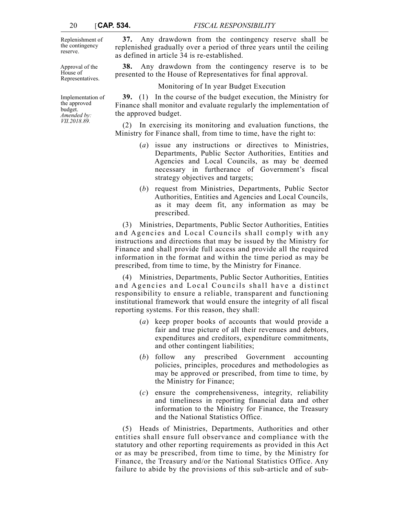Replenishment of the contingency reserve.

Approval of the House of Representatives.

Implementation of the approved budget. *Amended by: VII.2018.89.*

**37.** Any drawdown from the contingency reserve shall be replenished gradually over a period of three years until the ceiling as defined in article 34 is re-established.

**38.** Any drawdown from the contingency reserve is to be presented to the House of Representatives for final approval.

Monitoring of In year Budget Execution

**39.** (1) In the course of the budget execution, the Ministry for Finance shall monitor and evaluate regularly the implementation of the approved budget.

(2) In exercising its monitoring and evaluation functions, the Ministry for Finance shall, from time to time, have the right to:

- (*a*) issue any instructions or directives to Ministries, Departments, Public Sector Authorities, Entities and Agencies and Local Councils, as may be deemed necessary in furtherance of Government's fiscal strategy objectives and targets;
- (*b*) request from Ministries, Departments, Public Sector Authorities, Entities and Agencies and Local Councils, as it may deem fit, any information as may be prescribed.

(3) Ministries, Departments, Public Sector Authorities, Entities and Agencies and Local Councils shall comply with any instructions and directions that may be issued by the Ministry for Finance and shall provide full access and provide all the required information in the format and within the time period as may be prescribed, from time to time, by the Ministry for Finance.

(4) Ministries, Departments, Public Sector Authorities, Entities and Agencies and Local Councils shall have a distinct responsibility to ensure a reliable, transparent and functioning institutional framework that would ensure the integrity of all fiscal reporting systems. For this reason, they shall:

- (*a*) keep proper books of accounts that would provide a fair and true picture of all their revenues and debtors, expenditures and creditors, expenditure commitments, and other contingent liabilities;
- (*b*) follow any prescribed Government accounting policies, principles, procedures and methodologies as may be approved or prescribed, from time to time, by the Ministry for Finance;
- (*c*) ensure the comprehensiveness, integrity, reliability and timeliness in reporting financial data and other information to the Ministry for Finance, the Treasury and the National Statistics Office.

(5) Heads of Ministries, Departments, Authorities and other entities shall ensure full observance and compliance with the statutory and other reporting requirements as provided in this Act or as may be prescribed, from time to time, by the Ministry for Finance, the Treasury and/or the National Statistics Office. Any failure to abide by the provisions of this sub-article and of sub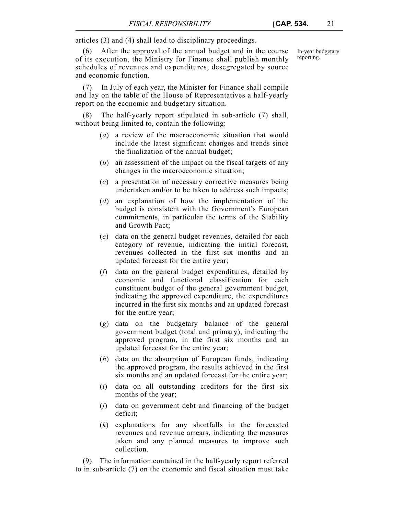articles (3) and (4) shall lead to disciplinary proceedings.

(6) After the approval of the annual budget and in the course of its execution, the Ministry for Finance shall publish monthly schedules of revenues and expenditures, desegregated by source and economic function.

In-year budgetary reporting.

(7) In July of each year, the Minister for Finance shall compile and lay on the table of the House of Representatives a half-yearly report on the economic and budgetary situation.

(8) The half-yearly report stipulated in sub-article (7) shall, without being limited to, contain the following:

- (*a*) a review of the macroeconomic situation that would include the latest significant changes and trends since the finalization of the annual budget;
- (*b*) an assessment of the impact on the fiscal targets of any changes in the macroeconomic situation;
- (*c*) a presentation of necessary corrective measures being undertaken and/or to be taken to address such impacts;
- (*d*) an explanation of how the implementation of the budget is consistent with the Government's European commitments, in particular the terms of the Stability and Growth Pact;
- (*e*) data on the general budget revenues, detailed for each category of revenue, indicating the initial forecast, revenues collected in the first six months and an updated forecast for the entire year;
- (*f*) data on the general budget expenditures, detailed by economic and functional classification for each constituent budget of the general government budget, indicating the approved expenditure, the expenditures incurred in the first six months and an updated forecast for the entire year;
- (*g*) data on the budgetary balance of the general government budget (total and primary), indicating the approved program, in the first six months and an updated forecast for the entire year;
- (*h*) data on the absorption of European funds, indicating the approved program, the results achieved in the first six months and an updated forecast for the entire year;
- (*i*) data on all outstanding creditors for the first six months of the year;
- (*j*) data on government debt and financing of the budget deficit;
- (*k*) explanations for any shortfalls in the forecasted revenues and revenue arrears, indicating the measures taken and any planned measures to improve such collection.

(9) The information contained in the half-yearly report referred to in sub-article (7) on the economic and fiscal situation must take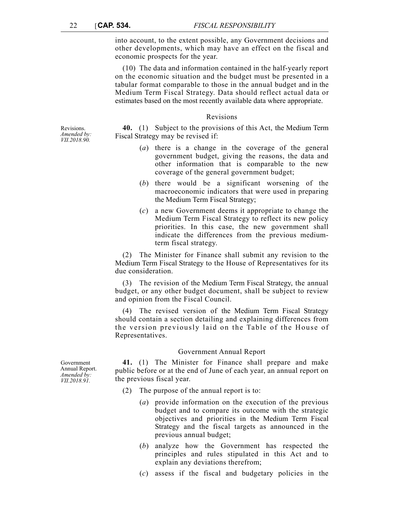into account, to the extent possible, any Government decisions and other developments, which may have an effect on the fiscal and economic prospects for the year.

(10) The data and information contained in the half-yearly report on the economic situation and the budget must be presented in a tabular format comparable to those in the annual budget and in the Medium Term Fiscal Strategy. Data should reflect actual data or estimates based on the most recently available data where appropriate.

#### Revisions

**40.** (1) Subject to the provisions of this Act, the Medium Term Fiscal Strategy may be revised if:

- (*a*) there is a change in the coverage of the general government budget, giving the reasons, the data and other information that is comparable to the new coverage of the general government budget;
- (*b*) there would be a significant worsening of the macroeconomic indicators that were used in preparing the Medium Term Fiscal Strategy;
- (*c*) a new Government deems it appropriate to change the Medium Term Fiscal Strategy to reflect its new policy priorities. In this case, the new government shall indicate the differences from the previous mediumterm fiscal strategy.

(2) The Minister for Finance shall submit any revision to the Medium Term Fiscal Strategy to the House of Representatives for its due consideration.

(3) The revision of the Medium Term Fiscal Strategy, the annual budget, or any other budget document, shall be subject to review and opinion from the Fiscal Council.

(4) The revised version of the Medium Term Fiscal Strategy should contain a section detailing and explaining differences from the version previously laid on the Table of the House of Representatives.

#### Government Annual Report

**41.** (1) The Minister for Finance shall prepare and make public before or at the end of June of each year, an annual report on the previous fiscal year.

- (2) The purpose of the annual report is to:
	- (*a*) provide information on the execution of the previous budget and to compare its outcome with the strategic objectives and priorities in the Medium Term Fiscal Strategy and the fiscal targets as announced in the previous annual budget;
	- (*b*) analyze how the Government has respected the principles and rules stipulated in this Act and to explain any deviations therefrom;
	- (*c*) assess if the fiscal and budgetary policies in the

Revisions. *Amended by: VII.2018.90.*

Government Annual Report. *Amended by: VII.2018.91.*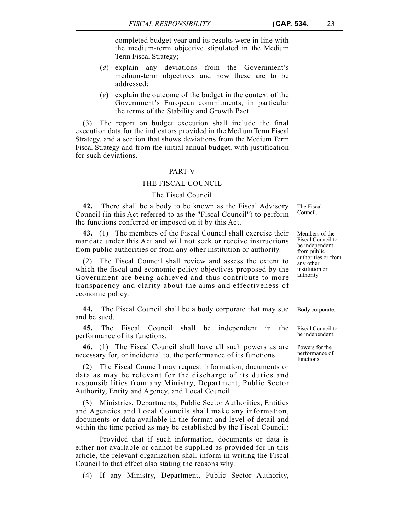completed budget year and its results were in line with the medium-term objective stipulated in the Medium Term Fiscal Strategy;

- (*d*) explain any deviations from the Government's medium-term objectives and how these are to be addressed;
- (*e*) explain the outcome of the budget in the context of the Government's European commitments, in particular the terms of the Stability and Growth Pact.

(3) The report on budget execution shall include the final execution data for the indicators provided in the Medium Term Fiscal Strategy, and a section that shows deviations from the Medium Term Fiscal Strategy and from the initial annual budget, with justification for such deviations.

#### PART V

## THE FISCAL COUNCIL

## The Fiscal Council

**42.** There shall be a body to be known as the Fiscal Advisory Council (in this Act referred to as the "Fiscal Council") to perform the functions conferred or imposed on it by this Act.

**43.** (1) The members of the Fiscal Council shall exercise their mandate under this Act and will not seek or receive instructions from public authorities or from any other institution or authority.

(2) The Fiscal Council shall review and assess the extent to which the fiscal and economic policy objectives proposed by the Government are being achieved and thus contribute to more transparency and clarity about the aims and effectiveness of economic policy.

**44.** The Fiscal Council shall be a body corporate that may sue Body corporate. and be sued.

**45.** The Fiscal Council shall be independent in the performance of its functions.

**46.** (1) The Fiscal Council shall have all such powers as are necessary for, or incidental to, the performance of its functions.

(2) The Fiscal Council may request information, documents or data as may be relevant for the discharge of its duties and responsibilities from any Ministry, Department, Public Sector Authority, Entity and Agency, and Local Council.

(3) Ministries, Departments, Public Sector Authorities, Entities and Agencies and Local Councils shall make any information, documents or data available in the format and level of detail and within the time period as may be established by the Fiscal Council:

Provided that if such information, documents or data is either not available or cannot be supplied as provided for in this article, the relevant organization shall inform in writing the Fiscal Council to that effect also stating the reasons why.

(4) If any Ministry, Department, Public Sector Authority,

Members of the Fiscal Council to be independent from public authorities or from any other institution or authority.

The Fiscal Council.

Fiscal Council to be independent.

Powers for the performance of functions.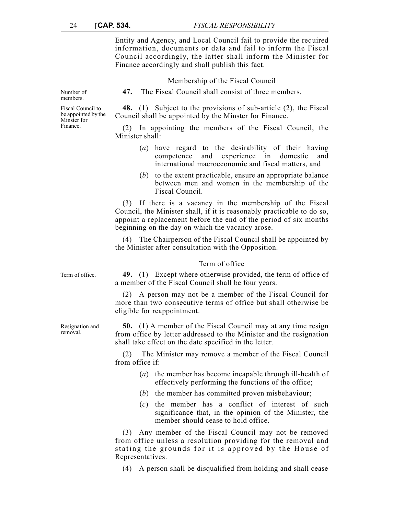Entity and Agency, and Local Council fail to provide the required information, documents or data and fail to inform the Fiscal Council accordingly, the latter shall inform the Minister for Finance accordingly and shall publish this fact.

Membership of the Fiscal Council

Number of members.

**47.** The Fiscal Council shall consist of three members.

**48.** (1) Subject to the provisions of sub-article (2), the Fiscal Council shall be appointed by the Minster for Finance.

In appointing the members of the Fiscal Council, the Minister shall:

- (*a*) have regard to the desirability of their having competence and experience in domestic and international macroeconomic and fiscal matters, and
- (*b*) to the extent practicable, ensure an appropriate balance between men and women in the membership of the Fiscal Council.

(3) If there is a vacancy in the membership of the Fiscal Council, the Minister shall, if it is reasonably practicable to do so, appoint a replacement before the end of the period of six months beginning on the day on which the vacancy arose.

(4) The Chairperson of the Fiscal Council shall be appointed by the Minister after consultation with the Opposition.

## Term of office

Term of office. **49.** (1) Except where otherwise provided, the term of office of a member of the Fiscal Council shall be four years.

> (2) A person may not be a member of the Fiscal Council for more than two consecutive terms of office but shall otherwise be eligible for reappointment.

> **50.** (1) A member of the Fiscal Council may at any time resign from office by letter addressed to the Minister and the resignation shall take effect on the date specified in the letter.

> (2) The Minister may remove a member of the Fiscal Council from office if:

- (*a*) the member has become incapable through ill-health of effectively performing the functions of the office;
- (*b*) the member has committed proven misbehaviour;
- (*c*) the member has a conflict of interest of such significance that, in the opinion of the Minister, the member should cease to hold office.

(3) Any member of the Fiscal Council may not be removed from office unless a resolution providing for the removal and stating the grounds for it is approved by the House of Representatives.

(4) A person shall be disqualified from holding and shall cease

Fiscal Council to be appointed by the Minster for Finance.

Resignation and removal.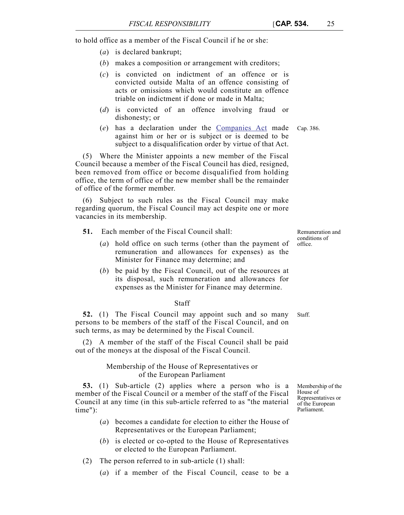to hold office as a member of the Fiscal Council if he or she:

- (*a*) is declared bankrupt;
- (*b*) makes a composition or arrangement with creditors;
- (*c*) is convicted on indictment of an offence or is convicted outside Malta of an offence consisting of acts or omissions which would constitute an offence triable on indictment if done or made in Malta;
- (*d*) is convicted of an offence involving fraud or dishonesty; or
- (*e*) has a declaration under the [Companies Act](https://legislation.mt/eli/cap/386/eng/pdf) made Cap. 386. against him or her or is subject or is deemed to be subject to a disqualification order by virtue of that Act.

(5) Where the Minister appoints a new member of the Fiscal Council because a member of the Fiscal Council has died, resigned, been removed from office or become disqualified from holding office, the term of office of the new member shall be the remainder of office of the former member.

(6) Subject to such rules as the Fiscal Council may make regarding quorum, the Fiscal Council may act despite one or more vacancies in its membership.

- **51.** Each member of the Fiscal Council shall:
	- (*a*) hold office on such terms (other than the payment of remuneration and allowances for expenses) as the Minister for Finance may determine; and
	- (*b*) be paid by the Fiscal Council, out of the resources at its disposal, such remuneration and allowances for expenses as the Minister for Finance may determine.

## Staff

**52.** (1) The Fiscal Council may appoint such and so many Staff. persons to be members of the staff of the Fiscal Council, and on such terms, as may be determined by the Fiscal Council.

(2) A member of the staff of the Fiscal Council shall be paid out of the moneys at the disposal of the Fiscal Council.

# Membership of the House of Representatives or of the European Parliament

**53.** (1) Sub-article (2) applies where a person who is a member of the Fiscal Council or a member of the staff of the Fiscal Council at any time (in this sub-article referred to as "the material time"):

- (*a*) becomes a candidate for election to either the House of Representatives or the European Parliament;
- (*b*) is elected or co-opted to the House of Representatives or elected to the European Parliament.
- (2) The person referred to in sub-article (1) shall:
	- (*a*) if a member of the Fiscal Council, cease to be a

Membership of the House of Representatives or of the European Parliament.

Remuneration and conditions of office.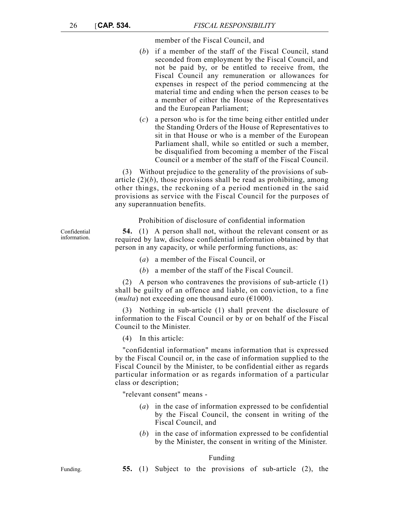member of the Fiscal Council, and

- (*b*) if a member of the staff of the Fiscal Council, stand seconded from employment by the Fiscal Council, and not be paid by, or be entitled to receive from, the Fiscal Council any remuneration or allowances for expenses in respect of the period commencing at the material time and ending when the person ceases to be a member of either the House of the Representatives and the European Parliament;
- (*c*) a person who is for the time being either entitled under the Standing Orders of the House of Representatives to sit in that House or who is a member of the European Parliament shall, while so entitled or such a member, be disqualified from becoming a member of the Fiscal Council or a member of the staff of the Fiscal Council.

(3) Without prejudice to the generality of the provisions of subarticle  $(2)(b)$ , those provisions shall be read as prohibiting, among other things, the reckoning of a period mentioned in the said provisions as service with the Fiscal Council for the purposes of any superannuation benefits.

Prohibition of disclosure of confidential information

**54.** (1) A person shall not, without the relevant consent or as required by law, disclose confidential information obtained by that person in any capacity, or while performing functions, as:

- (*a*) a member of the Fiscal Council, or
- (*b*) a member of the staff of the Fiscal Council.

(2) A person who contravenes the provisions of sub-article (1) shall be guilty of an offence and liable, on conviction, to a fine (*multa*) not exceeding one thousand euro ( $\epsilon$ 1000).

(3) Nothing in sub-article (1) shall prevent the disclosure of information to the Fiscal Council or by or on behalf of the Fiscal Council to the Minister.

(4) In this article:

"confidential information" means information that is expressed by the Fiscal Council or, in the case of information supplied to the Fiscal Council by the Minister, to be confidential either as regards particular information or as regards information of a particular class or description;

"relevant consent" means -

- (*a*) in the case of information expressed to be confidential by the Fiscal Council, the consent in writing of the Fiscal Council, and
- (*b*) in the case of information expressed to be confidential by the Minister, the consent in writing of the Minister.

Funding

Funding. **55.** (1) Subject to the provisions of sub-article (2), the

Confidential information.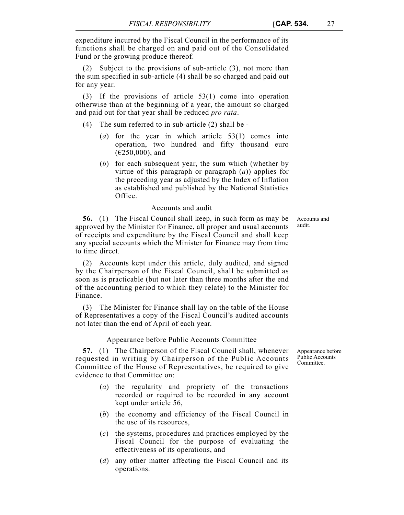expenditure incurred by the Fiscal Council in the performance of its functions shall be charged on and paid out of the Consolidated Fund or the growing produce thereof.

(2) Subject to the provisions of sub-article (3), not more than the sum specified in sub-article (4) shall be so charged and paid out for any year.

(3) If the provisions of article 53(1) come into operation otherwise than at the beginning of a year, the amount so charged and paid out for that year shall be reduced *pro rata*.

- (4) The sum referred to in sub-article (2) shall be
	- (*a*) for the year in which article 53(1) comes into operation, two hundred and fifty thousand euro  $(E250,000)$ , and
	- (*b*) for each subsequent year, the sum which (whether by virtue of this paragraph or paragraph (*a*)) applies for the preceding year as adjusted by the Index of Inflation as established and published by the National Statistics Office.

## Accounts and audit

**56.** (1) The Fiscal Council shall keep, in such form as may be approved by the Minister for Finance, all proper and usual accounts of receipts and expenditure by the Fiscal Council and shall keep any special accounts which the Minister for Finance may from time to time direct.

(2) Accounts kept under this article, duly audited, and signed by the Chairperson of the Fiscal Council, shall be submitted as soon as is practicable (but not later than three months after the end of the accounting period to which they relate) to the Minister for Finance.

(3) The Minister for Finance shall lay on the table of the House of Representatives a copy of the Fiscal Council's audited accounts not later than the end of April of each year.

## Appearance before Public Accounts Committee

**57.** (1) The Chairperson of the Fiscal Council shall, whenever requested in writing by Chairperson of the Public Accounts Committee of the House of Representatives, be required to give evidence to that Committee on:

- (*a*) the regularity and propriety of the transactions recorded or required to be recorded in any account kept under article 56,
- (*b*) the economy and efficiency of the Fiscal Council in the use of its resources,
- (*c*) the systems, procedures and practices employed by the Fiscal Council for the purpose of evaluating the effectiveness of its operations, and
- (*d*) any other matter affecting the Fiscal Council and its operations.

Appearance before Public Accounts Committee.

Accounts and audit.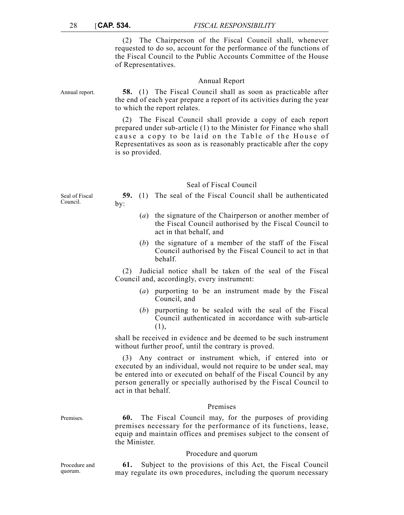(2) The Chairperson of the Fiscal Council shall, whenever requested to do so, account for the performance of the functions of the Fiscal Council to the Public Accounts Committee of the House of Representatives.

|                | Annual Report                                                                                                                                                                   |
|----------------|---------------------------------------------------------------------------------------------------------------------------------------------------------------------------------|
| Annual report. | <b>58.</b> (1) The Fiscal Council shall as soon as practicable after<br>the end of each year prepare a report of its activities during the year<br>to which the report relates. |
|                | $(2)$ The Eiseal Council shall provide a conv of each report                                                                                                                    |

(2) The Fiscal Council shall provide a copy of each report prepared under sub-article (1) to the Minister for Finance who shall cause a copy to be laid on the Table of the House of Representatives as soon as is reasonably practicable after the copy is so provided.

## Seal of Fiscal Council

**59.** (1) The seal of the Fiscal Council shall be authenticated by:

- (*a*) the signature of the Chairperson or another member of the Fiscal Council authorised by the Fiscal Council to act in that behalf, and
- (*b*) the signature of a member of the staff of the Fiscal Council authorised by the Fiscal Council to act in that behalf.

(2) Judicial notice shall be taken of the seal of the Fiscal Council and, accordingly, every instrument:

- (*a*) purporting to be an instrument made by the Fiscal Council, and
- (*b*) purporting to be sealed with the seal of the Fiscal Council authenticated in accordance with sub-article (1),

shall be received in evidence and be deemed to be such instrument without further proof, until the contrary is proved.

(3) Any contract or instrument which, if entered into or executed by an individual, would not require to be under seal, may be entered into or executed on behalf of the Fiscal Council by any person generally or specially authorised by the Fiscal Council to act in that behalf.

#### Premises

Premises. **60.** The Fiscal Council may, for the purposes of providing premises necessary for the performance of its functions, lease, equip and maintain offices and premises subject to the consent of the Minister.

#### Procedure and quorum

Procedure and quorum.

**61.** Subject to the provisions of this Act, the Fiscal Council may regulate its own procedures, including the quorum necessary

Seal of Fiscal Council.